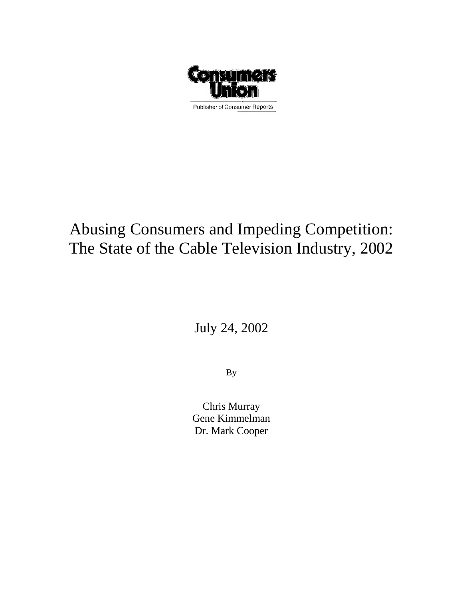

## Abusing Consumers and Impeding Competition: The State of the Cable Television Industry, 2002

July 24, 2002

By

Chris Murray Gene Kimmelman Dr. Mark Cooper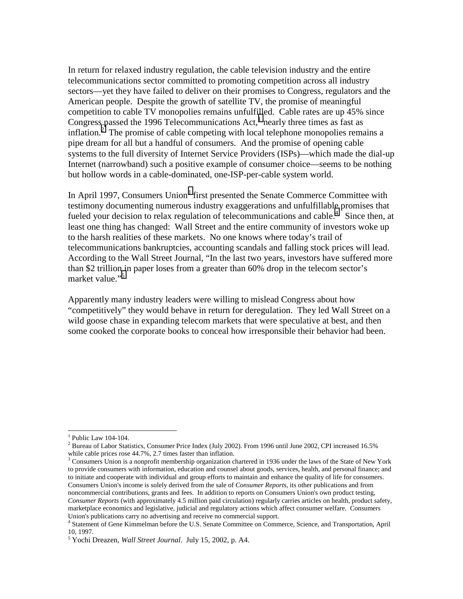In return for relaxed industry regulation, the cable television industry and the entire telecommunications sector committed to promoting competition across all industry sectors—yet they have failed to deliver on their promises to Congress, regulators and the American people. Despite the growth of satellite TV, the promise of meaningful competition to cable TV monopolies remains unfulfilled. Cable rates are up 45% since Congress passed the 1996 Telecommunications  $Act$ , nearly three times as fast as inflation.<sup>2</sup> The promise of cable competing with local telephone monopolies remains a pipe dream for all but a handful of consumers. And the promise of opening cable systems to the full diversity of Internet Service Providers (ISPs)—which made the dial-up Internet (narrowband) such a positive example of consumer choice—seems to be nothing but hollow words in a cable-dominated, one-ISP-per-cable system world.

In April 1997, Consumers Union<sup>3</sup> first presented the Senate Commerce Committee with testimony documenting numerous industry exaggerations and unfulfillable promises that fueled your decision to relax regulation of telecommunications and cable.<sup>4</sup> Since then, at least one thing has changed: Wall Street and the entire community of investors woke up to the harsh realities of these markets. No one knows where today's trail of telecommunications bankruptcies, accounting scandals and falling stock prices will lead. According to the Wall Street Journal, "In the last two years, investors have suffered more than \$2 trillion in paper loses from a greater than 60% drop in the telecom sector's market value."<sup>5</sup>

Apparently many industry leaders were willing to mislead Congress about how "competitively" they would behave in return for deregulation. They led Wall Street on a wild goose chase in expanding telecom markets that were speculative at best, and then some cooked the corporate books to conceal how irresponsible their behavior had been.

 $\overline{a}$ <sup>1</sup> Public Law 104-104.

<sup>&</sup>lt;sup>2</sup> Bureau of Labor Statistics, Consumer Price Index (July 2002). From 1996 until June 2002, CPI increased 16.5% while cable prices rose 44.7%, 2.7 times faster than inflation.

<sup>&</sup>lt;sup>3</sup> Consumers Union is a nonprofit membership organization chartered in 1936 under the laws of the State of New York to provide consumers with information, education and counsel about goods, services, health, and personal finance; and to initiate and cooperate with individual and group efforts to maintain and enhance the quality of life for consumers. Consumers Union's income is solely derived from the sale of *Consumer Reports*, its other publications and from noncommercial contributions, grants and fees. In addition to reports on Consumers Union's own product testing, *Consumer Reports* (with approximately 4.5 million paid circulation) regularly carries articles on health, product safety, marketplace economics and legislative, judicial and regulatory actions which affect consumer welfare. Consumers Union's publications carry no advertising and receive no commercial support. <sup>4</sup>

<sup>&</sup>lt;sup>4</sup> Statement of Gene Kimmelman before the U.S. Senate Committee on Commerce, Science, and Transportation, April 10, 1997.

<sup>5</sup> Yochi Dreazen, *Wall Street Journal*. July 15, 2002, p. A4.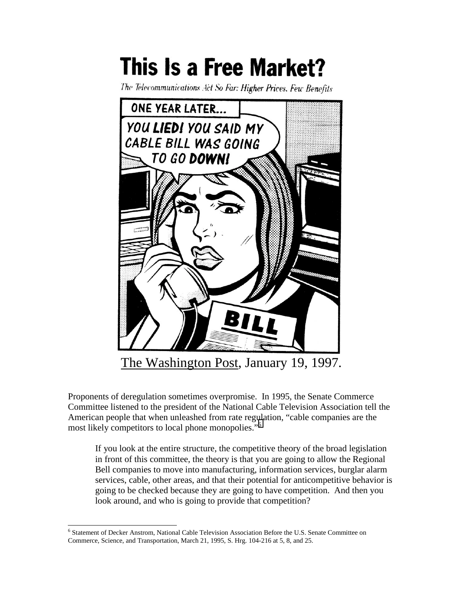## This Is a Free Market?

The Telecommunications Act So Far: Higher Prices, Few Benefits



Proponents of deregulation sometimes overpromise. In 1995, the Senate Commerce Committee listened to the president of the National Cable Television Association tell the American people that when unleashed from rate regulation, "cable companies are the most likely competitors to local phone monopolies."<sup>6</sup>

If you look at the entire structure, the competitive theory of the broad legislation in front of this committee, the theory is that you are going to allow the Regional Bell companies to move into manufacturing, information services, burglar alarm services, cable, other areas, and that their potential for anticompetitive behavior is going to be checked because they are going to have competition. And then you look around, and who is going to provide that competition?

 6 Statement of Decker Anstrom, National Cable Television Association Before the U.S. Senate Committee on Commerce, Science, and Transportation, March 21, 1995, S. Hrg. 104-216 at 5, 8, and 25.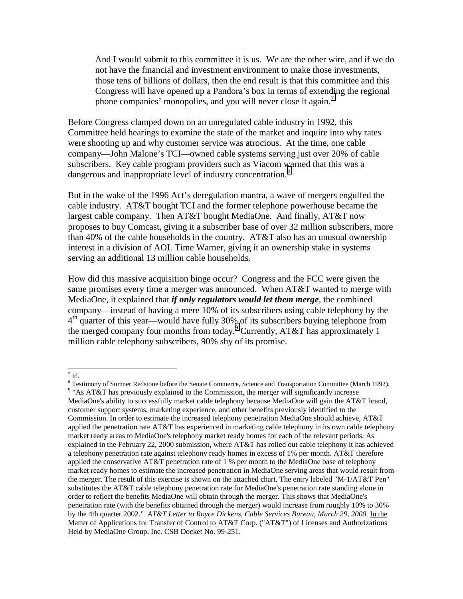And I would submit to this committee it is us. We are the other wire, and if we do not have the financial and investment environment to make those investments, those tens of billions of dollars, then the end result is that this committee and this Congress will have opened up a Pandora's box in terms of extending the regional phone companies' monopolies, and you will never close it again.<sup>7</sup>

Before Congress clamped down on an unregulated cable industry in 1992, this Committee held hearings to examine the state of the market and inquire into why rates were shooting up and why customer service was atrocious. At the time, one cable company—John Malone's TCI—owned cable systems serving just over 20% of cable subscribers. Key cable program providers such as Viacom warned that this was a dangerous and inappropriate level of industry concentration.<sup>8</sup>

But in the wake of the 1996 Act's deregulation mantra, a wave of mergers engulfed the cable industry. AT&T bought TCI and the former telephone powerhouse became the largest cable company. Then AT&T bought MediaOne. And finally, AT&T now proposes to buy Comcast, giving it a subscriber base of over 32 million subscribers, more than 40% of the cable households in the country. AT&T also has an unusual ownership interest in a division of AOL Time Warner, giving it an ownership stake in systems serving an additional 13 million cable households.

How did this massive acquisition binge occur? Congress and the FCC were given the same promises every time a merger was announced. When AT&T wanted to merge with MediaOne, it explained that *if only regulators would let them merge*, the combined company—instead of having a mere 10% of its subscribers using cable telephony by the  $4<sup>th</sup>$  quarter of this year—would have fully 30% of its subscribers buying telephone from the merged company four months from today.<sup>9</sup> Currently, AT&T has approximately 1 million cable telephony subscribers, 90% shy of its promise.

 $\frac{1}{7}$  Id.

<sup>&</sup>lt;sup>8</sup> Testimony of Sumner Redstone before the Senate Commerce, Science and Transportation Committee (March 1992).  $9$  "As AT&T has previously explained to the Commission, the merger will significantly increase MediaOne's ability to successfully market cable telephony because MediaOne will gain the AT&T brand, customer support systems, marketing experience, and other benefits previously identified to the Commission. In order to estimate the increased telephony penetration MediaOne should achieve, AT&T applied the penetration rate AT&T has experienced in marketing cable telephony in its own cable telephony market ready areas to MediaOne's telephony market ready homes for each of the relevant periods. As explained in the February 22, 2000 submission, where AT&T has rolled out cable telephony it has achieved a telephony penetration rate against telephony ready homes in excess of 1% per month. AT&T therefore applied the conservative AT&T penetration rate of 1 % per month to the MediaOne base of telephony market ready homes to estimate the increased penetration in MediaOne serving areas that would result from the merger. The result of this exercise is shown on the attached chart. The entry labeled "M-1/AT&T Pen" substitutes the AT&T cable telephony penetration rate for MediaOne's penetration rate standing alone in order to reflect the benefits MediaOne will obtain through the merger. This shows that MediaOne's penetration rate (with the benefits obtained through the merger) would increase from roughly 10% to 30% by the 4th quarter 2002." *AT&T Letter to Royce Dickens, Cable Services Bureau, March 29, 2000.* In the Matter of Applications for Transfer of Control to AT&T Corp. ("AT&T") of Licenses and Authorizations Held by MediaOne Group, Inc. CSB Docket No. 99-251.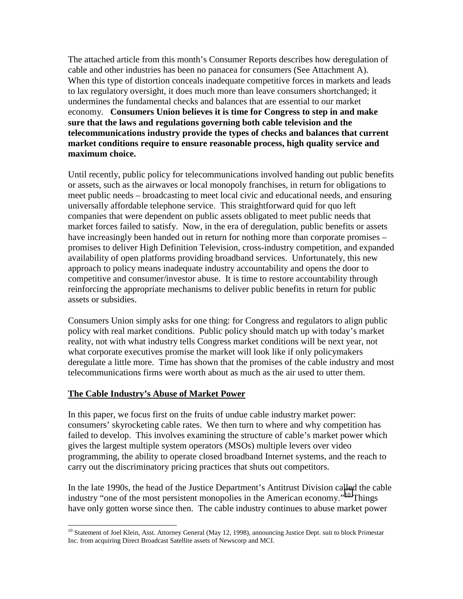The attached article from this month's Consumer Reports describes how deregulation of cable and other industries has been no panacea for consumers (See Attachment A). When this type of distortion conceals inadequate competitive forces in markets and leads to lax regulatory oversight, it does much more than leave consumers shortchanged; it undermines the fundamental checks and balances that are essential to our market economy. **Consumers Union believes it is time for Congress to step in and make sure that the laws and regulations governing both cable television and the telecommunications industry provide the types of checks and balances that current market conditions require to ensure reasonable process, high quality service and maximum choice.**

Until recently, public policy for telecommunications involved handing out public benefits or assets, such as the airwaves or local monopoly franchises, in return for obligations to meet public needs – broadcasting to meet local civic and educational needs, and ensuring universally affordable telephone service. This straightforward quid for quo left companies that were dependent on public assets obligated to meet public needs that market forces failed to satisfy. Now, in the era of deregulation, public benefits or assets have increasingly been handed out in return for nothing more than corporate promises – promises to deliver High Definition Television, cross-industry competition, and expanded availability of open platforms providing broadband services. Unfortunately, this new approach to policy means inadequate industry accountability and opens the door to competitive and consumer/investor abuse. It is time to restore accountability through reinforcing the appropriate mechanisms to deliver public benefits in return for public assets or subsidies.

Consumers Union simply asks for one thing: for Congress and regulators to align public policy with real market conditions. Public policy should match up with today's market reality, not with what industry tells Congress market conditions will be next year, not what corporate executives promise the market will look like if only policymakers deregulate a little more. Time has shown that the promises of the cable industry and most telecommunications firms were worth about as much as the air used to utter them.

## **The Cable Industry's Abuse of Market Power**

In this paper, we focus first on the fruits of undue cable industry market power: consumers' skyrocketing cable rates. We then turn to where and why competition has failed to develop. This involves examining the structure of cable's market power which gives the largest multiple system operators (MSOs) multiple levers over video programming, the ability to operate closed broadband Internet systems, and the reach to carry out the discriminatory pricing practices that shuts out competitors.

In the late 1990s, the head of the Justice Department's Antitrust Division called the cable industry "one of the most persistent monopolies in the American economy."<sup>10</sup> Things have only gotten worse since then. The cable industry continues to abuse market power

 $\overline{a}$ <sup>10</sup> Statement of Joel Klein, Asst. Attorney General (May 12, 1998), announcing Justice Dept. suit to block Primestar Inc. from acquiring Direct Broadcast Satellite assets of Newscorp and MCI.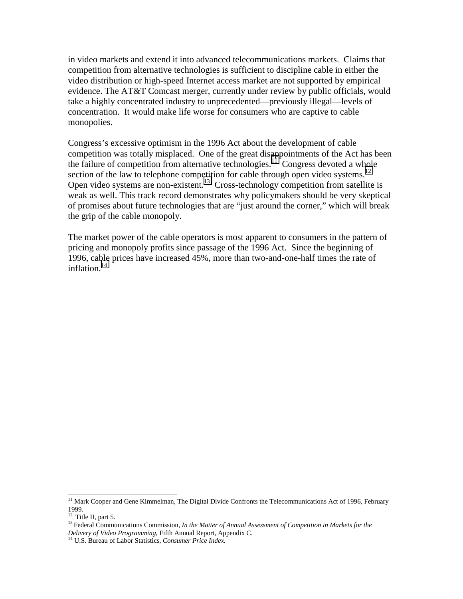in video markets and extend it into advanced telecommunications markets. Claims that competition from alternative technologies is sufficient to discipline cable in either the video distribution or high-speed Internet access market are not supported by empirical evidence. The AT&T Comcast merger, currently under review by public officials, would take a highly concentrated industry to unprecedented—previously illegal—levels of concentration. It would make life worse for consumers who are captive to cable monopolies.

Congress's excessive optimism in the 1996 Act about the development of cable competition was totally misplaced. One of the great disappointments of the Act has been the failure of competition from alternative technologies.<sup>11</sup> Congress devoted a whole section of the law to telephone competition for cable through open video systems.<sup>12</sup> Open video systems are non-existent.<sup>13</sup> Cross-technology competition from satellite is weak as well. This track record demonstrates why policymakers should be very skeptical of promises about future technologies that are "just around the corner," which will break the grip of the cable monopoly.

The market power of the cable operators is most apparent to consumers in the pattern of pricing and monopoly profits since passage of the 1996 Act. Since the beginning of 1996, cable prices have increased 45%, more than two-and-one-half times the rate of inflation. $14$ 

<sup>&</sup>lt;sup>11</sup> Mark Cooper and Gene Kimmelman, The Digital Divide Confronts the Telecommunications Act of 1996, February 1999.<br> $12$  Title II, part 5.

<sup>&</sup>lt;sup>13</sup> Federal Communications Commission, *In the Matter of Annual Assessment of Competition in Markets for the Delivery of Video Programming, Fifth Annual Report, Appendix C.* 

<sup>&</sup>lt;sup>14</sup> U.S. Bureau of Labor Statistics, *Consumer Price Index*.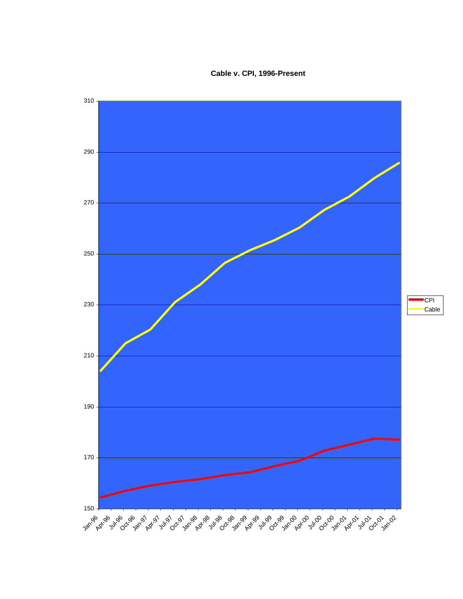**Cable v. CPI, 1996-Present**

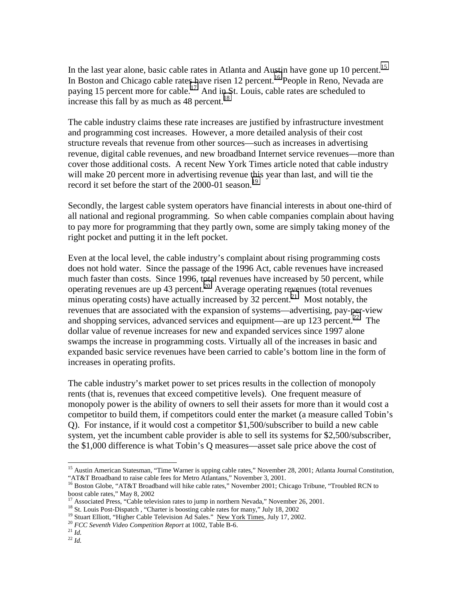In the last year alone, basic cable rates in Atlanta and Austin have gone up 10 percent.<sup>15</sup> In Boston and Chicago cable rates have risen 12 percent.<sup>16</sup> People in Reno, Nevada are paying 15 percent more for cable.<sup>17</sup> And in St. Louis, cable rates are scheduled to increase this fall by as much as  $48$  percent.<sup>18</sup>

The cable industry claims these rate increases are justified by infrastructure investment and programming cost increases. However, a more detailed analysis of their cost structure reveals that revenue from other sources—such as increases in advertising revenue, digital cable revenues, and new broadband Internet service revenues—more than cover those additional costs. A recent New York Times article noted that cable industry will make 20 percent more in advertising revenue this year than last, and will tie the record it set before the start of the  $2000-01$  season.<sup>19</sup>

Secondly, the largest cable system operators have financial interests in about one-third of all national and regional programming. So when cable companies complain about having to pay more for programming that they partly own, some are simply taking money of the right pocket and putting it in the left pocket.

Even at the local level, the cable industry's complaint about rising programming costs does not hold water. Since the passage of the 1996 Act, cable revenues have increased much faster than costs. Since 1996, total revenues have increased by 50 percent, while operating revenues are up 43 percent.<sup>20</sup> Average operating revenues (total revenues minus operating costs) have actually increased by  $32$  percent.<sup>21</sup> Most notably, the revenues that are associated with the expansion of systems—advertising, pay-per-view and shopping services, advanced services and equipment—are up 123 percent.<sup>22</sup> The dollar value of revenue increases for new and expanded services since 1997 alone swamps the increase in programming costs. Virtually all of the increases in basic and expanded basic service revenues have been carried to cable's bottom line in the form of increases in operating profits.

The cable industry's market power to set prices results in the collection of monopoly rents (that is, revenues that exceed competitive levels). One frequent measure of monopoly power is the ability of owners to sell their assets for more than it would cost a competitor to build them, if competitors could enter the market (a measure called Tobin's Q). For instance, if it would cost a competitor \$1,500/subscriber to build a new cable system, yet the incumbent cable provider is able to sell its systems for \$2,500/subscriber, the \$1,000 difference is what Tobin's Q measures—asset sale price above the cost of

<sup>&</sup>lt;sup>15</sup> Austin American Statesman, "Time Warner is upping cable rates," November 28, 2001; Atlanta Journal Constitution, "AT&T Broadband to raise cable fees for Metro Atlantans," November 3, 2001.

<sup>&</sup>lt;sup>16</sup> Boston Globe, "AT&T Broadband will hike cable rates," November 2001; Chicago Tribune, "Troubled RCN to boost cable rates," May 8, 2002

<sup>&</sup>lt;sup>17</sup> Associated Press, "Cable television rates to jump in northern Nevada," November 26, 2001.

<sup>&</sup>lt;sup>18</sup> St. Louis Post-Dispatch , "Charter is boosting cable rates for many," July 18, 2002

<sup>&</sup>lt;sup>19</sup> Stuart Elliott, "Higher Cable Television Ad Sales." New York Times, July 17, 2002.

<sup>20</sup> *FCC Seventh Video Competition Report* at 1002, Table B-6. <sup>21</sup> *Id.* <sup>22</sup> *Id.*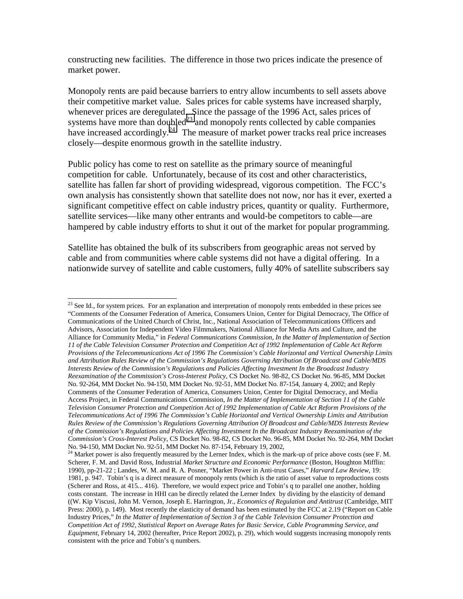constructing new facilities. The difference in those two prices indicate the presence of market power.

Monopoly rents are paid because barriers to entry allow incumbents to sell assets above their competitive market value. Sales prices for cable systems have increased sharply, whenever prices are deregulated. Since the passage of the 1996 Act, sales prices of systems have more than doubled<sup>23</sup> and monopoly rents collected by cable companies have increased accordingly.<sup>24</sup> The measure of market power tracks real price increases closely—despite enormous growth in the satellite industry.

Public policy has come to rest on satellite as the primary source of meaningful competition for cable. Unfortunately, because of its cost and other characteristics, satellite has fallen far short of providing widespread, vigorous competition. The FCC's own analysis has consistently shown that satellite does not now, nor has it ever, exerted a significant competitive effect on cable industry prices, quantity or quality. Furthermore, satellite services—like many other entrants and would-be competitors to cable—are hampered by cable industry efforts to shut it out of the market for popular programming.

Satellite has obtained the bulk of its subscribers from geographic areas not served by cable and from communities where cable systems did not have a digital offering. In a nationwide survey of satellite and cable customers, fully 40% of satellite subscribers say

 $2<sup>23</sup>$  See Id., for system prices. For an explanation and interpretation of monopoly rents embedded in these prices see "Comments of the Consumer Federation of America, Consumers Union, Center for Digital Democracy, The Office of Communications of the United Church of Christ, Inc., National Association of Telecommunications Officers and Advisors, Association for Independent Video Filmmakers, National Alliance for Media Arts and Culture, and the Alliance for Community Media," in *Federal Communications Commission, In the Matter of Implementation of Section 11 of the Cable Television Consumer Protection and Competition Act of 1992 Implementation of Cable Act Reform Provisions of the Telecommunications Act of 1996 The Commission's Cable Horizontal and Vertical Ownership Limits and Attribution Rules Review of the Commission's Regulations Governing Attribution Of Broadcast and Cable/MDS Interests Review of the Commission's Regulations and Policies Affecting Investment In the Broadcast Industry Reexamination of the Commission's Cross-Interest Policy*, CS Docket No. 98-82, CS Docket No. 96-85, MM Docket No. 92-264, MM Docket No. 94-150, MM Docket No. 92-51, MM Docket No. 87-154, January 4, 2002; and Reply Comments of the Consumer Federation of America, Consumers Union, Center for Digital Democracy, and Media Access Project, in Federal Communications Commission, *In the Matter of Implementation of Section 11 of the Cable Television Consumer Protection and Competition Act of 1992 Implementation of Cable Act Reform Provisions of the Telecommunications Act of 1996 The Commission's Cable Horizontal and Vertical Ownership Limits and Attribution Rules Review of the Commission's Regulations Governing Attribution Of Broadcast and Cable/MDS Interests Review of the Commission's Regulations and Policies Affecting Investment In the Broadcast Industry Reexamination of the Commission's Cross-Interest Policy,* CS Docket No. 98-82, CS Docket No. 96-85, MM Docket No. 92-264, MM Docket No. 94-150, MM Docket No. 92-51, MM Docket No. 87-154, February 19, 2002,

<sup>&</sup>lt;sup>24</sup> Market power is also frequently measured by the Lerner Index, which is the mark-up of price above costs (see F. M. Scherer, F. M. and David Ross, Industrial *Market Structure and Economic Performance* (Boston, Houghton Mifflin: 1990), pp-21-22 ; Landes, W. M. and R. A. Posner, "Market Power in Anti-trust Cases," *Harvard Law Review*, 19: 1981, p. 947. Tobin's q is a direct measure of monopoly rents (which is the ratio of asset value to reproductions costs (Scherer and Ross, at 415... 416). Therefore, we would expect price and Tobin's q to parallel one another, holding costs constant. The increase in HHI can be directly related the Lerner Index by dividing by the elasticity of demand ((W. Kip Viscusi, John M. Vernon, Joseph E. Harrington, Jr., *Economics of Regulation and Antitrust* (Cambridge, MIT Press: 2000), p. 149). Most recently the elasticity of demand has been estimated by the FCC at 2.19 ("Report on Cable Industry Prices," *In the Matter of Implementation of Section 3 of the Cable Television Consumer Protection and Competition Act of 1992, Statistical Report on Average Rates for Basic Service, Cable Programming Service, and Equipment*, February 14, 2002 (hereafter, Price Report 2002), p. 29), which would suggests increasing monopoly rents consistent with the price and Tobin's q numbers.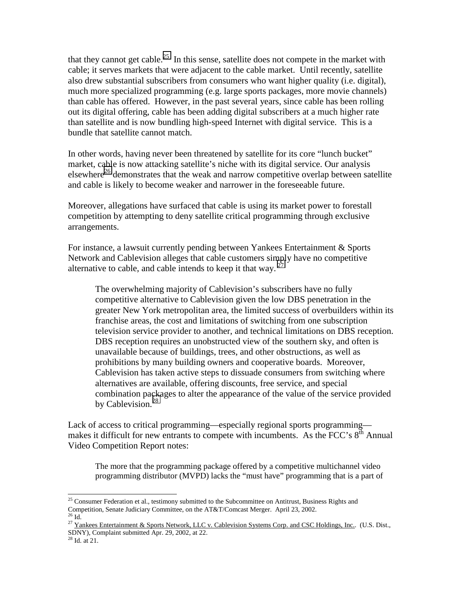that they cannot get cable.<sup>25</sup> In this sense, satellite does not compete in the market with cable; it serves markets that were adjacent to the cable market. Until recently, satellite also drew substantial subscribers from consumers who want higher quality (i.e. digital), much more specialized programming (e.g. large sports packages, more movie channels) than cable has offered. However, in the past several years, since cable has been rolling out its digital offering, cable has been adding digital subscribers at a much higher rate than satellite and is now bundling high-speed Internet with digital service. This is a bundle that satellite cannot match.

In other words, having never been threatened by satellite for its core "lunch bucket" market, cable is now attacking satellite's niche with its digital service. Our analysis elsewhere<sup>26</sup> demonstrates that the weak and narrow competitive overlap between satellite and cable is likely to become weaker and narrower in the foreseeable future.

Moreover, allegations have surfaced that cable is using its market power to forestall competition by attempting to deny satellite critical programming through exclusive arrangements.

For instance, a lawsuit currently pending between Yankees Entertainment & Sports Network and Cablevision alleges that cable customers simply have no competitive alternative to cable, and cable intends to keep it that way.  $27$ 

The overwhelming majority of Cablevision's subscribers have no fully competitive alternative to Cablevision given the low DBS penetration in the greater New York metropolitan area, the limited success of overbuilders within its franchise areas, the cost and limitations of switching from one subscription television service provider to another, and technical limitations on DBS reception. DBS reception requires an unobstructed view of the southern sky, and often is unavailable because of buildings, trees, and other obstructions, as well as prohibitions by many building owners and cooperative boards. Moreover, Cablevision has taken active steps to dissuade consumers from switching where alternatives are available, offering discounts, free service, and special combination packages to alter the appearance of the value of the service provided by Cablevision.<sup>28</sup>

Lack of access to critical programming—especially regional sports programming makes it difficult for new entrants to compete with incumbents. As the FCC's  $8^{th}$  Annual Video Competition Report notes:

The more that the programming package offered by a competitive multichannel video programming distributor (MVPD) lacks the "must have" programming that is a part of

 $25$  Consumer Federation et al., testimony submitted to the Subcommittee on Antitrust, Business Rights and Competition, Senate Judiciary Committee, on the AT&T/Comcast Merger. April 23, 2002.

 $\rm ^{26}$  Id.

<sup>&</sup>lt;sup>27</sup> Yankees Entertainment & Sports Network, LLC v. Cablevision Systems Corp. and CSC Holdings, Inc.. (U.S. Dist., SDNY), Complaint submitted Apr. 29, 2002, at 22.

 $28$  Id. at 21.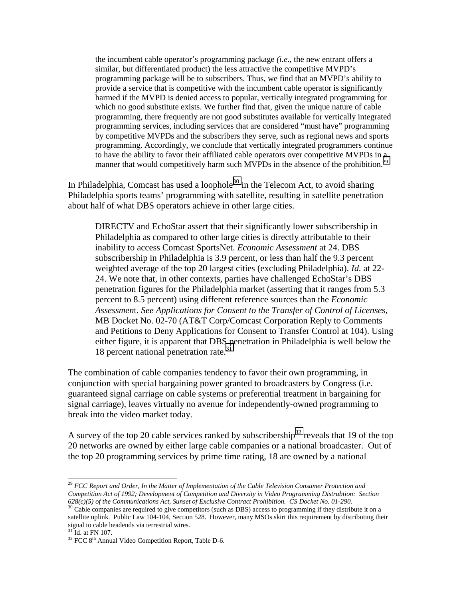the incumbent cable operator's programming package *(i.e*., the new entrant offers a similar, but differentiated product) the less attractive the competitive MVPD's programming package will be to subscribers. Thus, we find that an MVPD's ability to provide a service that is competitive with the incumbent cable operator is significantly harmed if the MVPD is denied access to popular, vertically integrated programming for which no good substitute exists. We further find that, given the unique nature of cable programming, there frequently are not good substitutes available for vertically integrated programming services, including services that are considered "must have" programming by competitive MVPDs and the subscribers they serve, such as regional news and sports programming. Accordingly, we conclude that vertically integrated programmers continue to have the ability to favor their affiliated cable operators over competitive MVPDs in a manner that would competitively harm such MVPDs in the absence of the prohibition.<sup>29</sup>

In Philadelphia, Comcast has used a loophole $30$  in the Telecom Act, to avoid sharing Philadelphia sports teams' programming with satellite, resulting in satellite penetration about half of what DBS operators achieve in other large cities.

DIRECTV and EchoStar assert that their significantly lower subscribership in Philadelphia as compared to other large cities is directly attributable to their inability to access Comcast SportsNet. *Economic Assessment* at 24. DBS subscribership in Philadelphia is 3.9 percent, or less than half the 9.3 percent weighted average of the top 20 largest cities (excluding Philadelphia). *Id.* at 22- 24. We note that, in other contexts, parties have challenged EchoStar's DBS penetration figures for the Philadelphia market (asserting that it ranges from 5.3 percent to 8.5 percent) using different reference sources than the *Economic Assessmen*t. *See Applications for Consent to the Transfer of Control of License*s, MB Docket No. 02-70 (AT&T Corp/Comcast Corporation Reply to Comments and Petitions to Deny Applications for Consent to Transfer Control at 104). Using either figure, it is apparent that DBS penetration in Philadelphia is well below the 18 percent national penetration rate.<sup>31</sup>

The combination of cable companies tendency to favor their own programming, in conjunction with special bargaining power granted to broadcasters by Congress (i.e. guaranteed signal carriage on cable systems or preferential treatment in bargaining for signal carriage), leaves virtually no avenue for independently-owned programming to break into the video market today.

A survey of the top 20 cable services ranked by subscribership<sup>32</sup> reveals that 19 of the top 20 networks are owned by either large cable companies or a national broadcaster. Out of the top 20 programming services by prime time rating, 18 are owned by a national

 $\overline{a}$ <sup>29</sup> *FCC Report and Order, In the Matter of Implementation of the Cable Television Consumer Protection and Competition Act of 1992; Development of Competition and Diversity in Video Programming Distrubtion: Section*

<sup>&</sup>lt;sup>30</sup> Cable companies are required to give competitors (such as DBS) access to programming if they distribute it on a satellite uplink. Public Law 104-104, Section 528. However, many MSOs skirt this requirement by distributing their signal to cable headends via terrestrial wires.

 $31$  Id. at FN 107.

<sup>&</sup>lt;sup>32</sup> FCC 8<sup>th</sup> Annual Video Competition Report, Table D-6.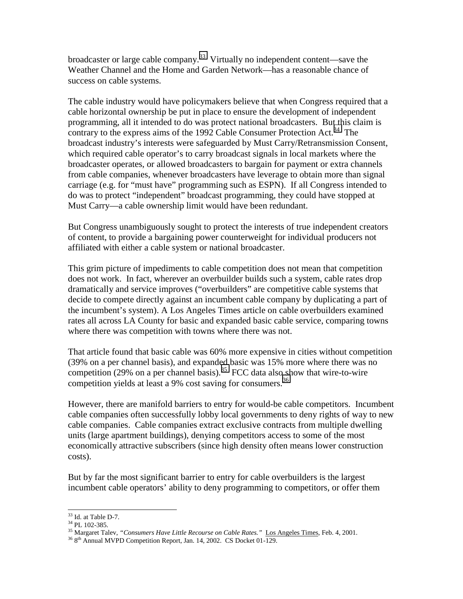broadcaster or large cable company.<sup>33</sup> Virtually no independent content—save the Weather Channel and the Home and Garden Network—has a reasonable chance of success on cable systems.

The cable industry would have policymakers believe that when Congress required that a cable horizontal ownership be put in place to ensure the development of independent programming, all it intended to do was protect national broadcasters. But this claim is contrary to the express aims of the 1992 Cable Consumer Protection Act.<sup>34</sup> The broadcast industry's interests were safeguarded by Must Carry/Retransmission Consent, which required cable operator's to carry broadcast signals in local markets where the broadcaster operates, or allowed broadcasters to bargain for payment or extra channels from cable companies, whenever broadcasters have leverage to obtain more than signal carriage (e.g. for "must have" programming such as ESPN). If all Congress intended to do was to protect "independent" broadcast programming, they could have stopped at Must Carry—a cable ownership limit would have been redundant.

But Congress unambiguously sought to protect the interests of true independent creators of content, to provide a bargaining power counterweight for individual producers not affiliated with either a cable system or national broadcaster.

This grim picture of impediments to cable competition does not mean that competition does not work. In fact, wherever an overbuilder builds such a system, cable rates drop dramatically and service improves ("overbuilders" are competitive cable systems that decide to compete directly against an incumbent cable company by duplicating a part of the incumbent's system). A Los Angeles Times article on cable overbuilders examined rates all across LA County for basic and expanded basic cable service, comparing towns where there was competition with towns where there was not.

That article found that basic cable was 60% more expensive in cities without competition (39% on a per channel basis), and expanded basic was 15% more where there was no competition (29% on a per channel basis).<sup>35</sup> FCC data also show that wire-to-wire competition yields at least a 9% cost saving for consumers.<sup>36</sup>

However, there are manifold barriers to entry for would-be cable competitors. Incumbent cable companies often successfully lobby local governments to deny rights of way to new cable companies. Cable companies extract exclusive contracts from multiple dwelling units (large apartment buildings), denying competitors access to some of the most economically attractive subscribers (since high density often means lower construction costs).

But by far the most significant barrier to entry for cable overbuilders is the largest incumbent cable operators' ability to deny programming to competitors, or offer them

 $33$  Id. at Table D-7.

<sup>34</sup> PL 102-385.

<sup>&</sup>lt;sup>35</sup> Margaret Talev, *"Consumers Have Little Recourse on Cable Rates."* Los Angeles Times, Feb. 4, 2001.<br><sup>36</sup> 8<sup>th</sup> Annual MVPD Competition Report, Jan. 14, 2002. CS Docket 01-129.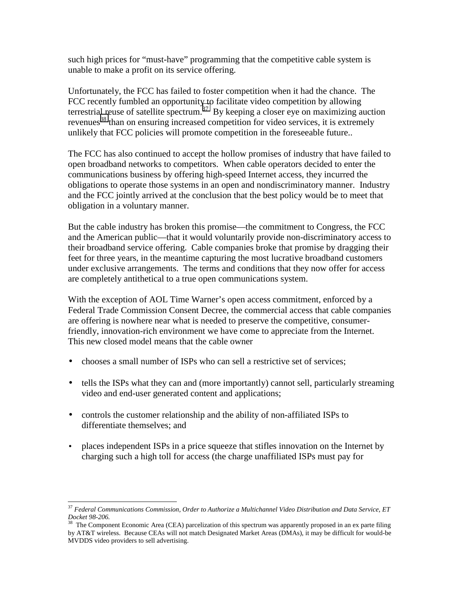such high prices for "must-have" programming that the competitive cable system is unable to make a profit on its service offering.

Unfortunately, the FCC has failed to foster competition when it had the chance. The FCC recently fumbled an opportunity to facilitate video competition by allowing terrestrial reuse of satellite spectrum.<sup>37</sup> By keeping a closer eye on maximizing auction revenues<sup>38</sup> than on ensuring increased competition for video services, it is extremely unlikely that FCC policies will promote competition in the foreseeable future..

The FCC has also continued to accept the hollow promises of industry that have failed to open broadband networks to competitors. When cable operators decided to enter the communications business by offering high-speed Internet access, they incurred the obligations to operate those systems in an open and nondiscriminatory manner. Industry and the FCC jointly arrived at the conclusion that the best policy would be to meet that obligation in a voluntary manner.

But the cable industry has broken this promise—the commitment to Congress, the FCC and the American public—that it would voluntarily provide non-discriminatory access to their broadband service offering. Cable companies broke that promise by dragging their feet for three years, in the meantime capturing the most lucrative broadband customers under exclusive arrangements. The terms and conditions that they now offer for access are completely antithetical to a true open communications system.

With the exception of AOL Time Warner's open access commitment, enforced by a Federal Trade Commission Consent Decree, the commercial access that cable companies are offering is nowhere near what is needed to preserve the competitive, consumerfriendly, innovation-rich environment we have come to appreciate from the Internet. This new closed model means that the cable owner

- chooses a small number of ISPs who can sell a restrictive set of services;
- tells the ISPs what they can and (more importantly) cannot sell, particularly streaming video and end-user generated content and applications;
- controls the customer relationship and the ability of non-affiliated ISPs to differentiate themselves; and
- places independent ISPs in a price squeeze that stifles innovation on the Internet by charging such a high toll for access (the charge unaffiliated ISPs must pay for

 $\overline{a}$ <sup>37</sup> *Federal Communications Commission, Order to Authorize a Multichannel Video Distribution and Data Service, ET Docket 98-206.*

<sup>38</sup> The Component Economic Area (CEA) parcelization of this spectrum was apparently proposed in an ex parte filing by AT&T wireless. Because CEAs will not match Designated Market Areas (DMAs), it may be difficult for would-be MVDDS video providers to sell advertising.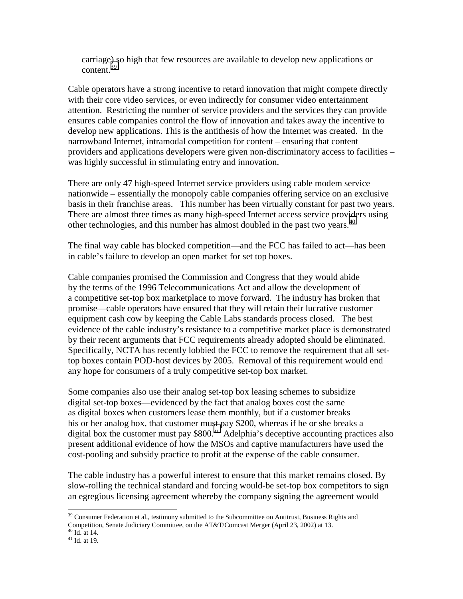carriage) so high that few resources are available to develop new applications or content.39

Cable operators have a strong incentive to retard innovation that might compete directly with their core video services, or even indirectly for consumer video entertainment attention. Restricting the number of service providers and the services they can provide ensures cable companies control the flow of innovation and takes away the incentive to develop new applications. This is the antithesis of how the Internet was created. In the narrowband Internet, intramodal competition for content – ensuring that content providers and applications developers were given non-discriminatory access to facilities – was highly successful in stimulating entry and innovation.

There are only 47 high-speed Internet service providers using cable modem service nationwide – essentially the monopoly cable companies offering service on an exclusive basis in their franchise areas. This number has been virtually constant for past two years. There are almost three times as many high-speed Internet access service providers using other technologies, and this number has almost doubled in the past two vears.<sup>40</sup>

The final way cable has blocked competition—and the FCC has failed to act—has been in cable's failure to develop an open market for set top boxes.

Cable companies promised the Commission and Congress that they would abide by the terms of the 1996 Telecommunications Act and allow the development of a competitive set-top box marketplace to move forward. The industry has broken that promise—cable operators have ensured that they will retain their lucrative customer equipment cash cow by keeping the Cable Labs standards process closed. The best evidence of the cable industry's resistance to a competitive market place is demonstrated by their recent arguments that FCC requirements already adopted should be eliminated. Specifically, NCTA has recently lobbied the FCC to remove the requirement that all settop boxes contain POD-host devices by 2005. Removal of this requirement would end any hope for consumers of a truly competitive set-top box market.

Some companies also use their analog set-top box leasing schemes to subsidize digital set-top boxes—evidenced by the fact that analog boxes cost the same as digital boxes when customers lease them monthly, but if a customer breaks his or her analog box, that customer must pay \$200, whereas if he or she breaks a digital box the customer must pay  $$800.<sup>41</sup>$  Adelphia's deceptive accounting practices also present additional evidence of how the MSOs and captive manufacturers have used the cost-pooling and subsidy practice to profit at the expense of the cable consumer.

The cable industry has a powerful interest to ensure that this market remains closed. By slow-rolling the technical standard and forcing would-be set-top box competitors to sign an egregious licensing agreement whereby the company signing the agreement would

 $39$  Consumer Federation et al., testimony submitted to the Subcommittee on Antitrust, Business Rights and Competition, Senate Judiciary Committee, on the AT&T/Comcast Merger (April 23, 2002) at 13.

 $40$  Id. at 14.

<sup>41</sup> Id. at 19.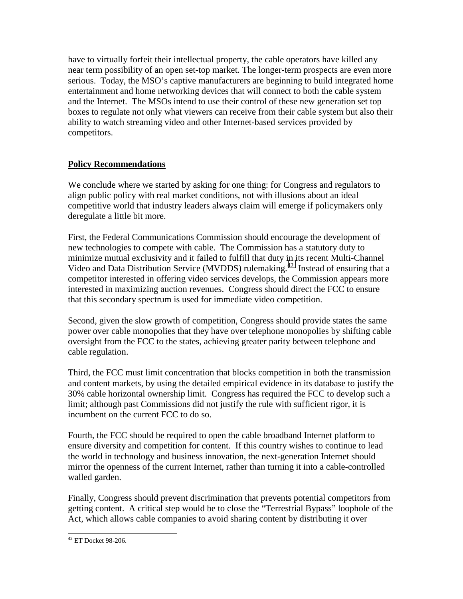have to virtually forfeit their intellectual property, the cable operators have killed any near term possibility of an open set-top market. The longer-term prospects are even more serious. Today, the MSO's captive manufacturers are beginning to build integrated home entertainment and home networking devices that will connect to both the cable system and the Internet. The MSOs intend to use their control of these new generation set top boxes to regulate not only what viewers can receive from their cable system but also their ability to watch streaming video and other Internet-based services provided by competitors.

## **Policy Recommendations**

We conclude where we started by asking for one thing: for Congress and regulators to align public policy with real market conditions, not with illusions about an ideal competitive world that industry leaders always claim will emerge if policymakers only deregulate a little bit more.

First, the Federal Communications Commission should encourage the development of new technologies to compete with cable. The Commission has a statutory duty to minimize mutual exclusivity and it failed to fulfill that duty in its recent Multi-Channel Video and Data Distribution Service (MVDDS) rulemaking.<sup>42</sup> Instead of ensuring that a competitor interested in offering video services develops, the Commission appears more interested in maximizing auction revenues. Congress should direct the FCC to ensure that this secondary spectrum is used for immediate video competition.

Second, given the slow growth of competition, Congress should provide states the same power over cable monopolies that they have over telephone monopolies by shifting cable oversight from the FCC to the states, achieving greater parity between telephone and cable regulation.

Third, the FCC must limit concentration that blocks competition in both the transmission and content markets, by using the detailed empirical evidence in its database to justify the 30% cable horizontal ownership limit. Congress has required the FCC to develop such a limit; although past Commissions did not justify the rule with sufficient rigor, it is incumbent on the current FCC to do so.

Fourth, the FCC should be required to open the cable broadband Internet platform to ensure diversity and competition for content. If this country wishes to continue to lead the world in technology and business innovation, the next-generation Internet should mirror the openness of the current Internet, rather than turning it into a cable-controlled walled garden.

Finally, Congress should prevent discrimination that prevents potential competitors from getting content. A critical step would be to close the "Terrestrial Bypass" loophole of the Act, which allows cable companies to avoid sharing content by distributing it over

 $\overline{a}$ 42 ET Docket 98-206.